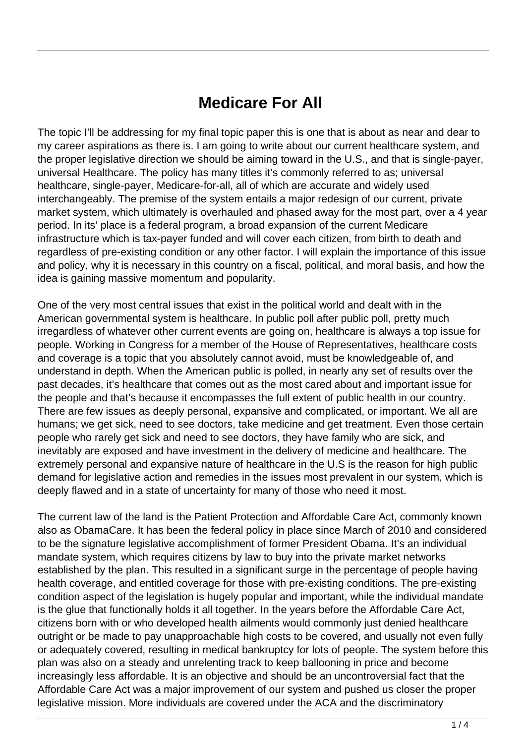## **Medicare For All**

The topic I'll be addressing for my final topic paper this is one that is about as near and dear to my career aspirations as there is. I am going to write about our current healthcare system, and the proper legislative direction we should be aiming toward in the U.S., and that is single-payer, universal Healthcare. The policy has many titles it's commonly referred to as; universal healthcare, single-payer, Medicare-for-all, all of which are accurate and widely used interchangeably. The premise of the system entails a major redesign of our current, private market system, which ultimately is overhauled and phased away for the most part, over a 4 year period. In its' place is a federal program, a broad expansion of the current Medicare infrastructure which is tax-payer funded and will cover each citizen, from birth to death and regardless of pre-existing condition or any other factor. I will explain the importance of this issue and policy, why it is necessary in this country on a fiscal, political, and moral basis, and how the idea is gaining massive momentum and popularity.

One of the very most central issues that exist in the political world and dealt with in the American governmental system is healthcare. In public poll after public poll, pretty much irregardless of whatever other current events are going on, healthcare is always a top issue for people. Working in Congress for a member of the House of Representatives, healthcare costs and coverage is a topic that you absolutely cannot avoid, must be knowledgeable of, and understand in depth. When the American public is polled, in nearly any set of results over the past decades, it's healthcare that comes out as the most cared about and important issue for the people and that's because it encompasses the full extent of public health in our country. There are few issues as deeply personal, expansive and complicated, or important. We all are humans; we get sick, need to see doctors, take medicine and get treatment. Even those certain people who rarely get sick and need to see doctors, they have family who are sick, and inevitably are exposed and have investment in the delivery of medicine and healthcare. The extremely personal and expansive nature of healthcare in the U.S is the reason for high public demand for legislative action and remedies in the issues most prevalent in our system, which is deeply flawed and in a state of uncertainty for many of those who need it most.

The current law of the land is the Patient Protection and Affordable Care Act, commonly known also as ObamaCare. It has been the federal policy in place since March of 2010 and considered to be the signature legislative accomplishment of former President Obama. It's an individual mandate system, which requires citizens by law to buy into the private market networks established by the plan. This resulted in a significant surge in the percentage of people having health coverage, and entitled coverage for those with pre-existing conditions. The pre-existing condition aspect of the legislation is hugely popular and important, while the individual mandate is the glue that functionally holds it all together. In the years before the Affordable Care Act, citizens born with or who developed health ailments would commonly just denied healthcare outright or be made to pay unapproachable high costs to be covered, and usually not even fully or adequately covered, resulting in medical bankruptcy for lots of people. The system before this plan was also on a steady and unrelenting track to keep ballooning in price and become increasingly less affordable. It is an objective and should be an uncontroversial fact that the Affordable Care Act was a major improvement of our system and pushed us closer the proper legislative mission. More individuals are covered under the ACA and the discriminatory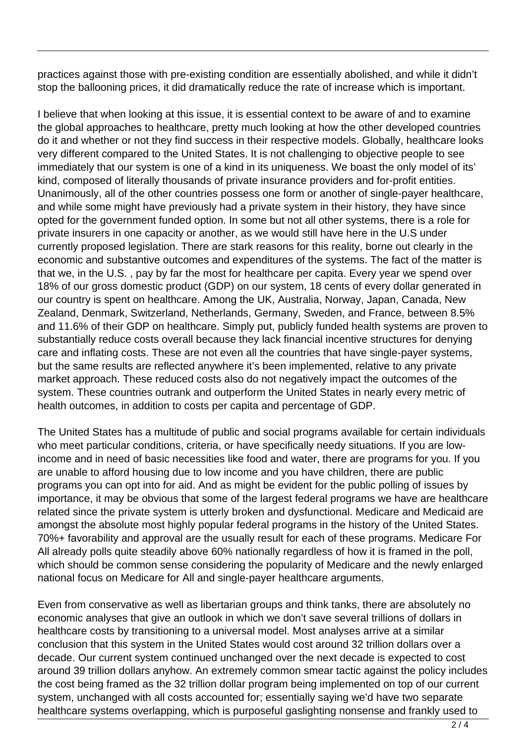practices against those with pre-existing condition are essentially abolished, and while it didn't stop the ballooning prices, it did dramatically reduce the rate of increase which is important.

I believe that when looking at this issue, it is essential context to be aware of and to examine the global approaches to healthcare, pretty much looking at how the other developed countries do it and whether or not they find success in their respective models. Globally, healthcare looks very different compared to the United States. It is not challenging to objective people to see immediately that our system is one of a kind in its uniqueness. We boast the only model of its' kind, composed of literally thousands of private insurance providers and for-profit entities. Unanimously, all of the other countries possess one form or another of single-payer healthcare, and while some might have previously had a private system in their history, they have since opted for the government funded option. In some but not all other systems, there is a role for private insurers in one capacity or another, as we would still have here in the U.S under currently proposed legislation. There are stark reasons for this reality, borne out clearly in the economic and substantive outcomes and expenditures of the systems. The fact of the matter is that we, in the U.S. , pay by far the most for healthcare per capita. Every year we spend over 18% of our gross domestic product (GDP) on our system, 18 cents of every dollar generated in our country is spent on healthcare. Among the UK, Australia, Norway, Japan, Canada, New Zealand, Denmark, Switzerland, Netherlands, Germany, Sweden, and France, between 8.5% and 11.6% of their GDP on healthcare. Simply put, publicly funded health systems are proven to substantially reduce costs overall because they lack financial incentive structures for denying care and inflating costs. These are not even all the countries that have single-payer systems, but the same results are reflected anywhere it's been implemented, relative to any private market approach. These reduced costs also do not negatively impact the outcomes of the system. These countries outrank and outperform the United States in nearly every metric of health outcomes, in addition to costs per capita and percentage of GDP.

The United States has a multitude of public and social programs available for certain individuals who meet particular conditions, criteria, or have specifically needy situations. If you are lowincome and in need of basic necessities like food and water, there are programs for you. If you are unable to afford housing due to low income and you have children, there are public programs you can opt into for aid. And as might be evident for the public polling of issues by importance, it may be obvious that some of the largest federal programs we have are healthcare related since the private system is utterly broken and dysfunctional. Medicare and Medicaid are amongst the absolute most highly popular federal programs in the history of the United States. 70%+ favorability and approval are the usually result for each of these programs. Medicare For All already polls quite steadily above 60% nationally regardless of how it is framed in the poll, which should be common sense considering the popularity of Medicare and the newly enlarged national focus on Medicare for All and single-payer healthcare arguments.

Even from conservative as well as libertarian groups and think tanks, there are absolutely no economic analyses that give an outlook in which we don't save several trillions of dollars in healthcare costs by transitioning to a universal model. Most analyses arrive at a similar conclusion that this system in the United States would cost around 32 trillion dollars over a decade. Our current system continued unchanged over the next decade is expected to cost around 39 trillion dollars anyhow. An extremely common smear tactic against the policy includes the cost being framed as the 32 trillion dollar program being implemented on top of our current system, unchanged with all costs accounted for; essentially saying we'd have two separate healthcare systems overlapping, which is purposeful gaslighting nonsense and frankly used to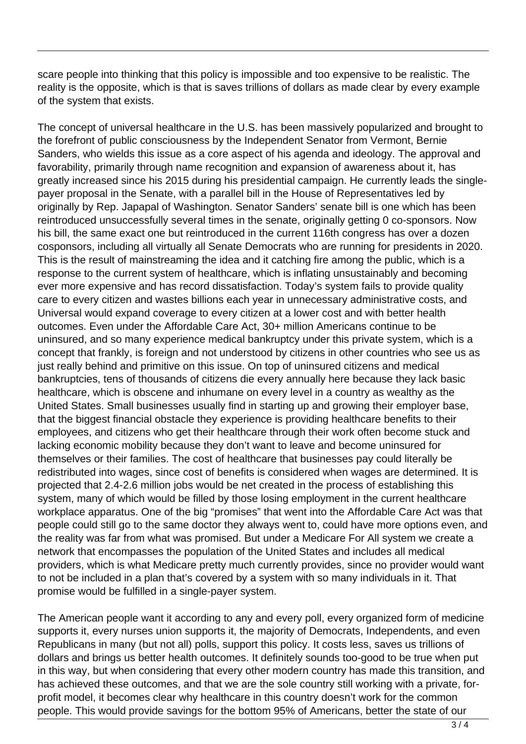scare people into thinking that this policy is impossible and too expensive to be realistic. The reality is the opposite, which is that is saves trillions of dollars as made clear by every example of the system that exists.

The concept of universal healthcare in the U.S. has been massively popularized and brought to the forefront of public consciousness by the Independent Senator from Vermont, Bernie Sanders, who wields this issue as a core aspect of his agenda and ideology. The approval and favorability, primarily through name recognition and expansion of awareness about it, has greatly increased since his 2015 during his presidential campaign. He currently leads the singlepayer proposal in the Senate, with a parallel bill in the House of Representatives led by originally by Rep. Japapal of Washington. Senator Sanders' senate bill is one which has been reintroduced unsuccessfully several times in the senate, originally getting 0 co-sponsors. Now his bill, the same exact one but reintroduced in the current 116th congress has over a dozen cosponsors, including all virtually all Senate Democrats who are running for presidents in 2020. This is the result of mainstreaming the idea and it catching fire among the public, which is a response to the current system of healthcare, which is inflating unsustainably and becoming ever more expensive and has record dissatisfaction. Today's system fails to provide quality care to every citizen and wastes billions each year in unnecessary administrative costs, and Universal would expand coverage to every citizen at a lower cost and with better health outcomes. Even under the Affordable Care Act, 30+ million Americans continue to be uninsured, and so many experience medical bankruptcy under this private system, which is a concept that frankly, is foreign and not understood by citizens in other countries who see us as just really behind and primitive on this issue. On top of uninsured citizens and medical bankruptcies, tens of thousands of citizens die every annually here because they lack basic healthcare, which is obscene and inhumane on every level in a country as wealthy as the United States. Small businesses usually find in starting up and growing their employer base, that the biggest financial obstacle they experience is providing healthcare benefits to their employees, and citizens who get their healthcare through their work often become stuck and lacking economic mobility because they don't want to leave and become uninsured for themselves or their families. The cost of healthcare that businesses pay could literally be redistributed into wages, since cost of benefits is considered when wages are determined. It is projected that 2.4-2.6 million jobs would be net created in the process of establishing this system, many of which would be filled by those losing employment in the current healthcare workplace apparatus. One of the big "promises" that went into the Affordable Care Act was that people could still go to the same doctor they always went to, could have more options even, and the reality was far from what was promised. But under a Medicare For All system we create a network that encompasses the population of the United States and includes all medical providers, which is what Medicare pretty much currently provides, since no provider would want to not be included in a plan that's covered by a system with so many individuals in it. That promise would be fulfilled in a single-payer system.

The American people want it according to any and every poll, every organized form of medicine supports it, every nurses union supports it, the majority of Democrats, Independents, and even Republicans in many (but not all) polls, support this policy. It costs less, saves us trillions of dollars and brings us better health outcomes. It definitely sounds too-good to be true when put in this way, but when considering that every other modern country has made this transition, and has achieved these outcomes, and that we are the sole country still working with a private, forprofit model, it becomes clear why healthcare in this country doesn't work for the common people. This would provide savings for the bottom 95% of Americans, better the state of our